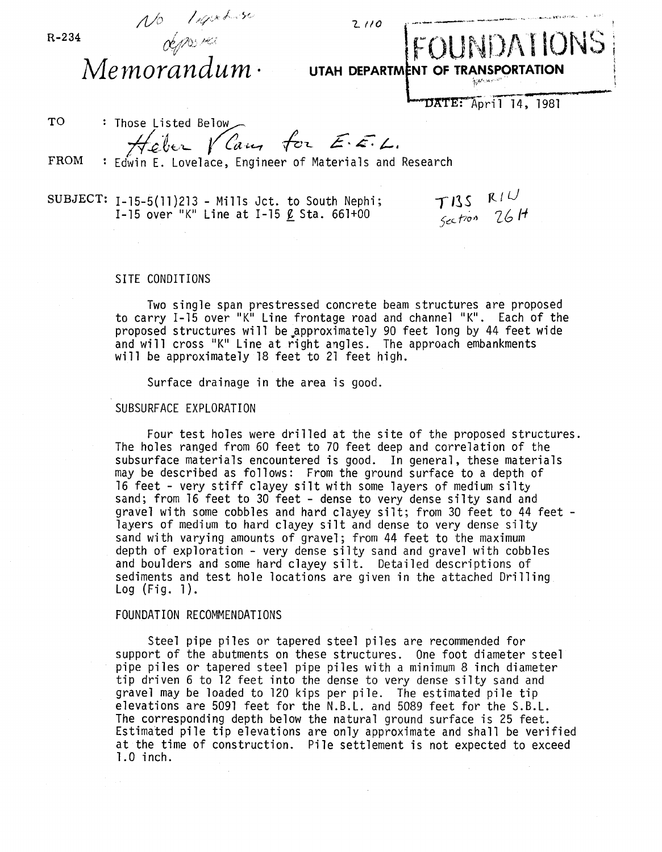| $R - 234$ | NO Ligables<br>2110<br>Memorandum ·                                                           | FOUNDATIONS<br>UTAH DEPARTMENT OF TRANSPORTATION<br>$\eta_{\alpha} \mathbf{e}^{\mathbf{r}}$ are $\mathbf{e}^{\alpha \mathbf{e}^{\mathbf{r}} \mathbf{r}}$ |
|-----------|-----------------------------------------------------------------------------------------------|----------------------------------------------------------------------------------------------------------------------------------------------------------|
|           |                                                                                               | DATE: April 14, 1981                                                                                                                                     |
| <b>TO</b> | : Those Listed Below                                                                          |                                                                                                                                                          |
| FROM      | Feber Van for E. E. L.<br>Edwin E. Lovelace, Engineer of Materials and Research               |                                                                                                                                                          |
| SUBJECT:  | $I-15-5(11)213$ - Mills Jct. to South Nephi;<br>I-15 over "K" Line at I-15 $\ell$ Sta. 661+00 | $\begin{array}{cc} TIS & RIV \\ 5c & 26H \end{array}$                                                                                                    |

## SITE CONDITIONS

Two single span prestressed concrete beam structures are proposed to carry 1-15 over "K" Line frontage road and channel "K". Each of the proposed structures will be.approximate1y 90 feet long by 44 feet wide and will cross "K" Line at right angles. The approach embankments will be approximately 18 feet to 21 feet high.

Surface drainage in the area is good.

## SUBSURFACE EXPLORATION

Four test holes were drilled at the site of the proposed structures. The holes ranged from 60 feet to 70 feet deep and correlation of the subsurface materials encountered is good. In general, these materials may be described as follows: From the ground surface to a depth of 16 feet - very stiff clayey silt with some layers of medium silty sand; from 16 feet to 30 feet - dense to very dense silty sand and gravel with some cobbles and hard clayey silt; from 30 feet to 44 feet - layers of medium to hard clayey silt and dense to very dense silty sand with varying amounts of gravel; from 44 feet to the maximum depth of exploration - very dense silty sand and gravel with cobbles and boulders and some hard clayey silt. Detailed descriptions of sediments and test hole locations are given in the attached Drilling<br>Log (Fig. 1).

## FOUNDATION RECOMMENDATIONS

Steel pipe piles or tapered steel piles are recommended for support of the abutments on these structures. One foot diameter steel pipe piles or tapered steel pipe piles with a minimum 8 inch diameter tip driven 6 to 12 feet into the dense to very dense silty sand and gravel may be loaded to 120 kips per pile. The estimated pile tip elevations are 5091 feet for the N.B.L. and 5089 feet for the S.B.L. The corresponding depth below the natural ground surface is 25 feet. Estimated pile tip elevations are only approximate and shall be verified at the time of construction. Pile settlement is not expected to exceed 1. 0 inch.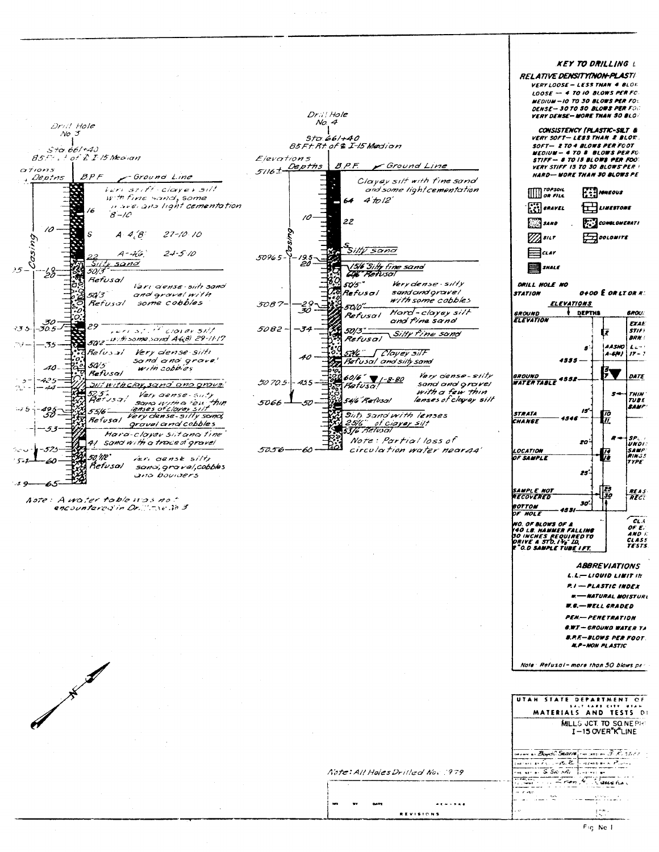|                                                                                 |                                                                                           | <b>KEY TO DRILLING</b> L<br><b>RELATIVE DENSITYINON-PLASTI</b>                                                |
|---------------------------------------------------------------------------------|-------------------------------------------------------------------------------------------|---------------------------------------------------------------------------------------------------------------|
|                                                                                 |                                                                                           | VERY LOOSE - LESS THAN 4 BLOR<br>$LOOSE$ - 4 TO 10 BLOWS PER FC                                               |
|                                                                                 |                                                                                           | MEDIUM - 10 TO 30 BLOWS PER FOL<br>DENSE-30 TO 30 BLOWS PER FOO                                               |
| Drill Hole                                                                      | Dr.il Hole<br>No. 4                                                                       | <b>VERY DENSE-MORE THAN 50 BLO:</b>                                                                           |
| $No$ $\mathcal{F}$                                                              | Sto.66/+40                                                                                | CONSISTENCY (PLASTIC-SILT &<br>VERY SOFT-LESS THAN 2 BLOW.                                                    |
| $5 + \alpha.66 + 40$<br>$85F +$ of $2F$ is Median                               | B5Ft Rt of & I-15 Medion<br>Elevations                                                    | SOFT- 2 TO 4 BLOWS PER FOOT<br>MEDIUM -- 4 TO 8 BLOWS PER FC                                                  |
| OT/0115                                                                         | B.P.F.<br><sup>-</sup> Ground Lin <b>e</b><br>$5/16 + \frac{Depths}{2}$                   | STIFF - 8 TO IS BLOWS PER FOOT<br><i><b>VERY STIFF 15 TO 30 BLOWS PER !</b></i><br>HARD-WORE THAN 30 BLOWS PE |
| B P F<br>Ground Line<br>, Deptns<br>ieri stiff clayer silt                      | Clayey silt with fine sand<br>and some light cementation                                  | n <i>ropson</i>                                                                                               |
| with fine sand, some<br>n averana light cementation                             | 4'to/2'<br>64                                                                             | $\iiint \n\vec{r}$ or $\vec{r}$<br><b>IGNEOUS</b>                                                             |
| $8 - 10$                                                                        | 22                                                                                        | $\binom{12}{12}$ shave $L$<br>LINESTONE<br>CONGLOMERATI                                                       |
| 10<br>A.4.8<br>$27 - 10$ 10                                                     |                                                                                           | <b>SAND</b><br>$\pm$ DOLOMITE<br>sitr                                                                         |
| bú<br>$24 - 5/10$<br>A-Hó                                                       | Silty sand                                                                                | $=$ $\alpha$ ar                                                                                               |
| Sitte sand<br>$25 -$<br>5013                                                    | 5096.5-<br>19.5-<br>20 -<br>1516 Silly fine sand                                          | ≕<br>SNALE                                                                                                    |
| -19<br>Refusal<br>lari dense siiti sand                                         | GOB" Refusal<br>50'5"<br>Very dense - silty                                               | DRILL HOLE NO                                                                                                 |
| 50'3<br>and gravel with<br>some cobbles<br>Refusal                              | sand ond oravel<br>Refusal<br>with some cobbles                                           | <b>O+OO E OR LT OR R:</b><br><b>STATION</b><br><b>ELEVATIONS</b>                                              |
|                                                                                 | 5087-<br>50/0"<br>Hard-clayey silt<br>Refusal                                             | DEPTHS<br><b>GROU</b><br><b>GROUND</b><br><b>ELEVATION</b>                                                    |
| $-30.5$<br>マラゴー<br>eristet corer 51/1                                           | and fine sand<br>5082-<br>- 74<br>50/3."<br>Silty fine sand                               | <b>EXAL</b><br><b>STIFF</b><br>R                                                                              |
| 5012 - 17 th some sand A6(0) 29-11-17<br>79 —                                   | Refusal                                                                                   | <b>BRN</b><br>AASHO L.<br>5                                                                                   |
| Refusal<br>Very dense silti<br>sand and grave'<br>50/5                          | 526 Clavey silf<br>Refusal and sitty sand                                                 | A-614 I<br>$17 - 7$<br>4555 -                                                                                 |
| with cobbies<br>Refusal                                                         | Very cense-silty<br>$60/6$ $7 - 8 - 80$<br>50 70.5 .<br>455<br>sand and oravel<br>Refusa! | 外<br>DATE<br><b>GROUND</b><br>WATERTABLE 4552-                                                                |
| <u>Siit with clay, sand and arove </u><br>25.<br>Very gense-Suty<br>Refysor     | with a few thin<br>lenses of clayey silt<br>546 Refusal                                   | $s$ +<br>l <i>THIN</i><br>$\boldsymbol{n}$                                                                    |
| sana with a ten thin<br>lenses of clover silt<br>55/6<br>Very dense-silty sand, | 5066<br>Siti sand with lenses                                                             | <b>SAMP</b><br>15<br><b>STRATA</b>                                                                            |
| Refusal<br>gravel and cobbles                                                   | 25/6" of ciayey silt<br>5376 Retusal                                                      | 77<br>CHANGE                                                                                                  |
| Hara-clayev sitanatine<br>41 sand with a trace of gravel                        | Note: Partial loss of                                                                     | SP.<br>zо<br><b>UNDI</b>                                                                                      |
| 50.MP'<br>veri canse silty                                                      | circulation water near44'<br>50.56                                                        | <b>SAMP</b><br>LOCATION<br>RINGS<br>OF SAMPLE<br><b>TYPE</b>                                                  |
| Refusal<br>sano, graval, cobbles<br>and boulders                                |                                                                                           | 25                                                                                                            |
|                                                                                 |                                                                                           | <b>SAMPLE NOT</b><br><b>REAS</b><br>30<br>RECOVERED<br>RFC                                                    |
| Aste: A water toble ups not<br>encountares in Or. "The la 3                     |                                                                                           | 30<br>BOTTOM<br>OF HOLE                                                                                       |
|                                                                                 |                                                                                           |                                                                                                               |

Note: All Holes Drilled Nov 1979

**REVISIONS** 

 $......$ 

 $\blacksquare$  $\mathbf{r}$  $\sim$ 

 $\bar{z}$ 

Note: Refusal-more than 50 blows per

**WALLACE SERVING OF A**<br>1900 LB NAMMER FALLING<br>190 INCHES REQUIRED TO<br>DRIVE A STD. I<sup>3</sup>6" LD.<br>19<sup>2</sup>0.0 SAMPLE TUB<u>E IFT.</u>

CLA<br>OF E.<br>AND K<br>CLASS<br>TESTS.

**ABBREVIATIONS**  $L.L \rightarrow L10UID$   $L1UITIR$ P.I - PLASTIC INDEX **E-MATURAL MOISTURE** W.G. - WELL GRADED **PEN-PENETRATION S.W.T - GROUND WATER TA B.P.E-BLOWS PER FOOT. N.P-NON PLASTIC** 

 $\mathbf{I}$